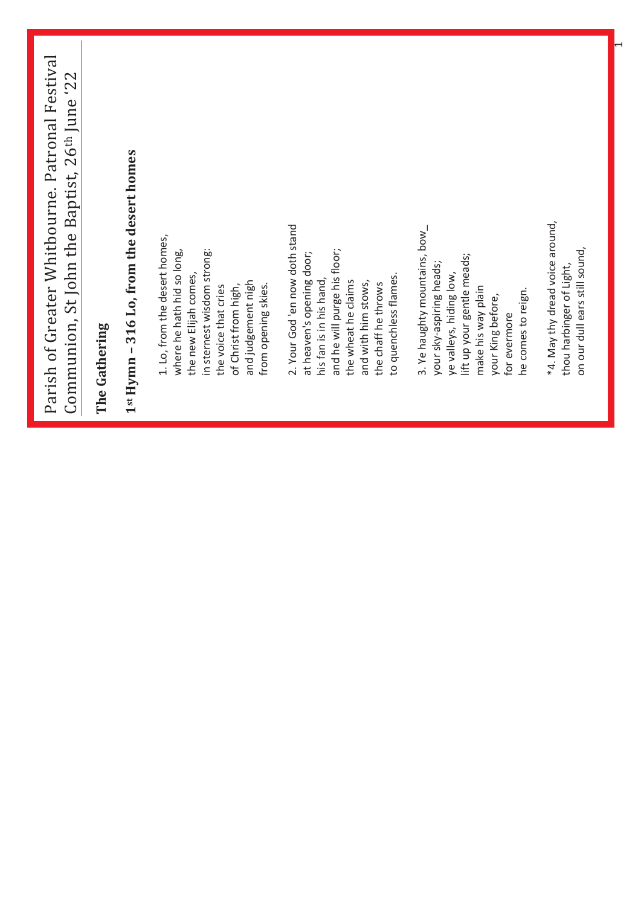| Parish of Greater Whitbourne. Patronal Festival<br>Communion, St John the Baptist, 26 <sup>th</sup> June '22 |
|--------------------------------------------------------------------------------------------------------------|
| The Gathering                                                                                                |
| 1st Hymn - 316 Lo, from the desert homes                                                                     |
| 1. Lo, from the desert homes,                                                                                |
| where he hath hid so long,                                                                                   |
| the new Elijah comes,                                                                                        |
| in sternest wisdom strong:                                                                                   |
| the voice that cries                                                                                         |
| of Christ from high,                                                                                         |
| and judgement nigh                                                                                           |
| from opening skies.                                                                                          |
| 2. Your God 'en now doth stand                                                                               |
|                                                                                                              |
| at heaven's opening door;                                                                                    |
| his fan is in his hand,                                                                                      |
| and he will purge his floor;                                                                                 |
| the wheat he claims                                                                                          |
| and with him stows,                                                                                          |
| the chaff he throws                                                                                          |
| to quenchless flames.                                                                                        |
|                                                                                                              |
| 3. Ye haughty mountains, bow_                                                                                |
| your sky-aspiring heads;                                                                                     |
| ye valleys, hiding low,                                                                                      |
| lift up your gentle meads;                                                                                   |
| make his way plain                                                                                           |
| your King before,                                                                                            |
| for evermore                                                                                                 |
| he comes to reign.                                                                                           |
|                                                                                                              |
| *4. May thy dread voice around,                                                                              |
| thou harbinger of Light,                                                                                     |
| on our dull ears still sound,                                                                                |
|                                                                                                              |

 $\vdash$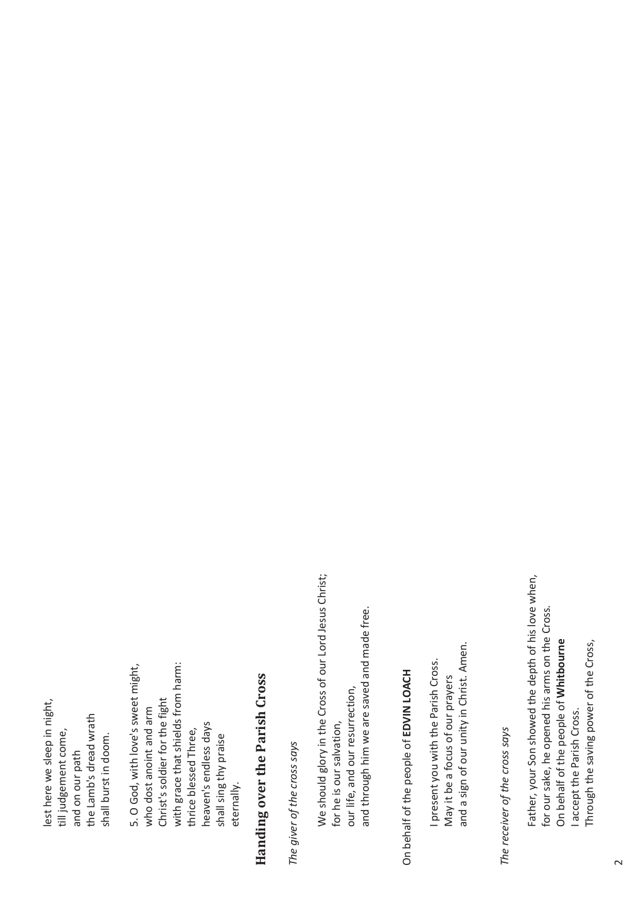lest here we sleep in night, lest here we sleep in night, the Lamb's dread wrath the Lamb's dread wrath till judgement come, till judgement come, shall burst in doom. shall burst in doom. and on our path and on our path

with grace that shields from harm: 5. O God, with love's sweet might, with grace that shields from harm: 5. O God, with love's sweet might, Christ's soldier for the fight Christ's soldier for the fight who dost anoint and arm who dost anoint and arm heaven's endless days heaven's endless days thrice blessed Three, thrice blessed Three, shall sing thy praise shall sing thy praise eternally.

## Handing over the Parish Cross **Handing over the Parish Cross**

*The giver of the cross says*  The giver of the cross says We should glory in the Cross of our Lord Jesus Christ; We should glory in the Cross of our Lord Jesus Christ; and through him we are saved and made free. and through him we are saved and made free. our life, and our resurrection, our life, and our resurrection, for he is our salvation, for he is our salvation,

On behalf of the people of EDVIN LOACH On behalf of the people of **EDVIN LOACH**

and a sign of our unity in Christ. Amen. and a sign of our unity in Christ. Amen. I present you with the Parish Cross. I present you with the Parish Cross. May it be a focus of our prayers May it be a focus of our prayers

The receiver of the cross says *The receiver of the cross says* 

Father, your Son showed the depth of his love when, Father, your Son showed the depth of his love when, for our sake, he opened his arms on the Cross. for our sake, he opened his arms on the Cross. On behalf of the people of Whitbourne Through the saving power of the Cross, Through the saving power of the Cross, On behalf of the people of **Whitbourne** I accept the Parish Cross. I accept the Parish Cross.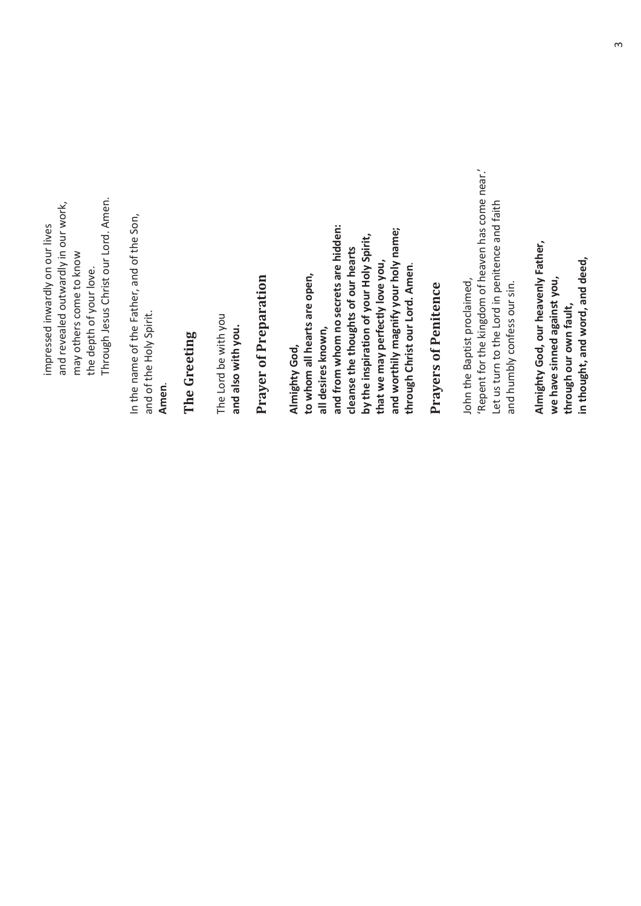Through Jesus Christ our Lord. Amen. Through Jesus Christ our Lord. Amen. and revealed outwardly in our work, and revealed outwardly in our work, impressed inwardly on our lives impressed inwardly on our lives may others come to know may others come to know the depth of your love. the depth of your love.

In the name of the Father, and of the Son, In the name of the Father, and of the Son, and of the Holy Spirit. and of the Holy Spirit. **Amen**.

#### The Greeting **The Greeting**

The Lord be with you The Lord be with you and also with you. **and also with you.** 

## **Prayer of Preparation Prayer of Preparation**

**and from whom no secrets are hidden:**  and from whom no secrets are hidden: and worthily magnify your holy name; **and worthily magnify your holy name;**  by the inspiration of your Holy Spirit, **by the inspiration of your Holy Spirit,**  cleanse the thoughts of our hearts **cleanse the thoughts of our hearts that we may perfectly love you,**  that we may perfectly love you, **through Christ our Lord. Amen**. through Christ our Lord. Amen. **to whom all hearts are open,**  to whom all hearts are open, all desires known, **all desires known, Almighty God,**  Almighty God,

### **Prayers of Penitence Prayers of Penitence**

Repent for the kingdom of heaven has come near.' 'Repent for the kingdom of heaven has come near.' Let us turn to the Lord in penitence and faith Let us turn to the Lord in penitence and faith John the Baptist proclaimed, John the Baptist proclaimed, and humbly confess our sin. and humbly confess our sin.

**Almighty God, our heavenly Father,**  Almighty God, our heavenly Father, **in thought, and word, and deed,** in thought, and word, and deed, **we have sinned against you,**  we have sinned against you, through our own fault, **through our own fault,**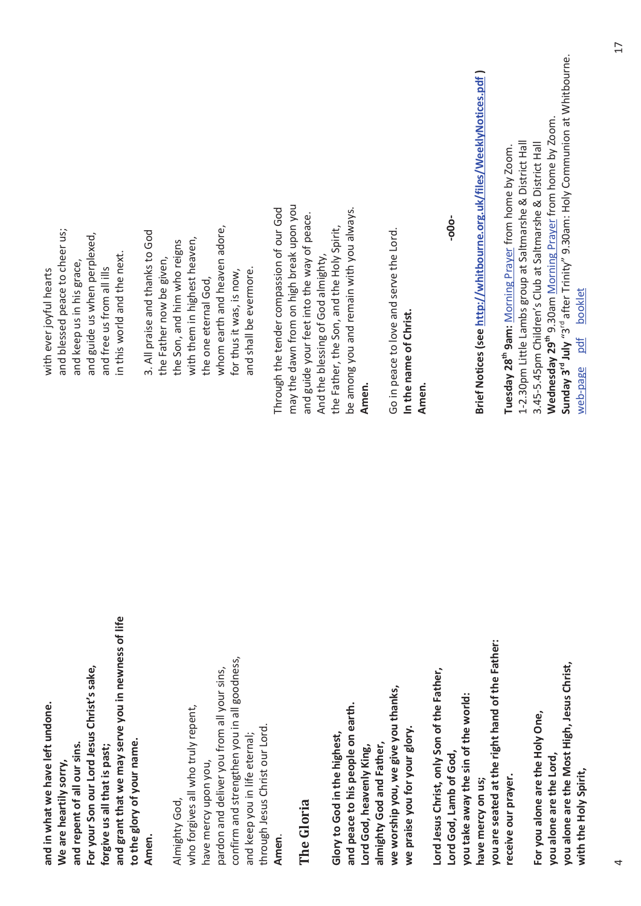**and grant that we may serve you in newness of life**  and grant that we may serve you in newness of life -or your Son our Lord Jesus Christ's sake, **For your Son our Lord Jesus Christ's sake, and in what we have left undone.**  and in what we have left undone. **to the glory of your name. and repent of all our sins.**  the glory of your name. and repent of all our sins. forgive us all that is past; **forgive us all that is past; We are heartily sorry,**  We are heartily sorry, **Amen.** 

confirm and strengthen you in all goodness, confirm and strengthen you in all goodness, pardon and deliver you from all your sins, pardon and deliver you from all your sins, who forgives all who truly repent, who forgives all who truly repent, through Jesus Christ our Lord. through Jesus Christ our Lord. and keep you in life eternal; and keep you in life eternal; have mercy upon you, have mercy upon you, Almighty God, Almighty God, **Amen** .

#### **The Gloria**  The Gloria

**we worship you, we give you thanks,**  we worship you, we give you thanks, **and peace to his people on earth.**  and peace to his people on earth. **we praise you for your glory.**  we praise you for your glory. **Glory to God in the highest,**  Glory to God in the highest, **almighty God and Father, Lord God, heavenly King,**  almighty God and Father, ord God, heavenly King,

**you are seated at the right hand of the Father:**  you are seated at the right hand of the Father: **Lord Jesus Christ, only Son of the Father,**  ord Jesus Christ, only Son of the Father, **you take away the sin of the world:**  you take away the sin of the world: **Lord God, Lamb of God,**  ord God, Lamb of God, **receive our prayer.**  eceive our prayer. **have mercy on us;**  nave mercy on us;

**you alone are the Most High, Jesus Christ,**  you alone are the Most High, Jesus Christ, **For you alone are the Holy One,**  For you alone are the Holy One, **you alone are the Lord,**  ou alone are the Lord, **with the Holy Spirit,** with the Holy Spirit,

and blessed peace to cheer us; and blessed peace to cheer us; and guide us when perplexed, and guide us when perplexed, in this world and the next. in this world and the next. and keep us in his grace, and keep us in his grace, with ever joyful hearts and free us from all ills and free us from all ills with ever joyful hearts

whom earth and heaven adore, whom earth and heaven adore, 3. All praise and thanks to God 3. All praise and thanks to God with them in highest heaven, the Son, and him who reigns the Son, and him who reigns with them in highest heaven, the Father now be given, the Father now be given, and shall be evermore. for thus it was, is now, and shall be evermore. for thus it was, is now, the one eternal God, the one eternal God,

may the dawn from on high break upon you may the dawn from on high break upon you Through the tender compassion of our God be among you and remain with you always. Through the tender compassion of our God and guide your feet into the way of peace. be among you and remain with you always. and guide your feet into the way of peace. the Father, the Son, and the Holy Spirit, the Father, the Son, and the Holy Spirit, And the blessing of God almighty, And the blessing of God almighty, **Amen.** 

Go in peace to love and serve the Lord. Go in peace to love and serve the Lord. **In the name of Christ.**  In the name of Christ. **Amen.**  **-o0o-**

**Brief Notices (see http://whitbourne.org.uk/files/WeeklyNotices.pdf )**  Brief Notices (see http://whitbourne.org.uk/files/WeeklyNotices.pdf)

**Sunday 3<sup>rd</sup> July** "3<sup>rd</sup> after Trinity" 9.30am: Holy Communion at Whitbourne. Sunday 3<sup>rd</sup> July "3<sup>rd</sup> after Trinity" 9.30am: Holy Communion at Whitbourne. **Wednesday 29th** 9.30am Morning Prayer from home by Zoom. Wednesday 29th 9.30am Morning Prayer from home by Zoom. 1-2.30pm Little Lambs group at Saltmarshe & District Hall 3.45-5.45pm Children's Club at Saltmarshe & District Hall 1-2.30pm Little Lambs group at Saltmarshe & District Hall 3.45-5.45pm Children's Club at Saltmarshe & District Hall **Tuesday 28th 9am:** Morning Prayer from home by Zoom. Tuesday 28<sup>th</sup> 9am: Morning Prayer from home by Zoom. booklet web-page pdf booklet pdf web-page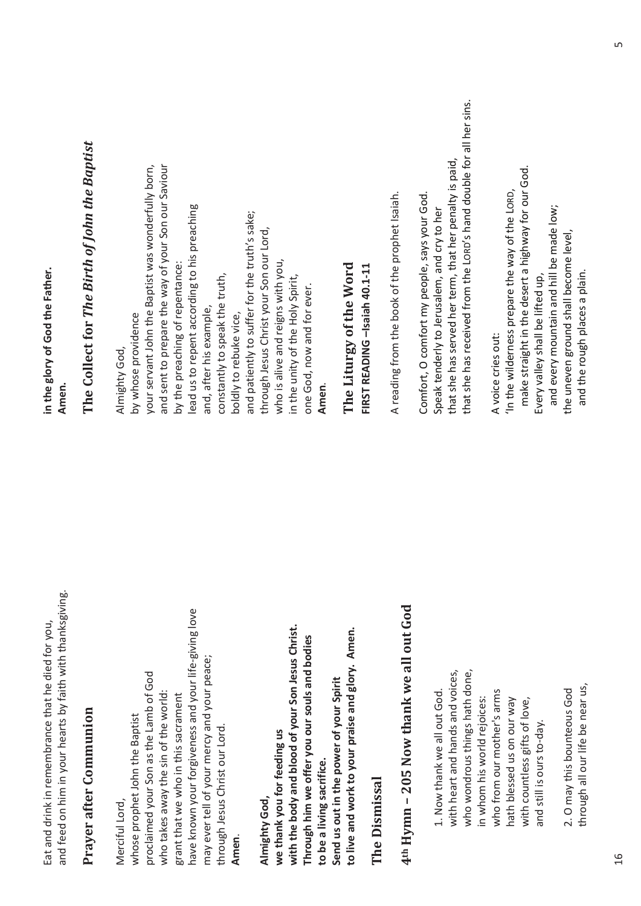and feed on him in your hearts by faith with thanksgiving. and feed on him in your hearts by faith with thanksgivin Eat and drink in remembrance that he died for you, Eat and drink in remembrance that he died for you.

## **Prayer after Communion**  Prayer after Communion

Merciful Lord, Merciful Lord.

have known your forgiveness and your life-giving love have known your forgiveness and your life-giving love may ever tell of your mercy and your peace; may ever tell of your mercy and your peace; proclaimed your Son as the Lamb of God proclaimed your Son as the Lamb of God who takes away the sin of the world: who takes away the sin of the world: grant that we who in this sacrament grant that we who in this sacrament whose prophet John the Baptist whose prophet John the Baptist through Jesus Christ our Lord. through Jesus Christ our Lord. **Amen**.

**with the body and blood of your Son Jesus Christ.**  with the body and blood of your Son Jesus Christ. **to live and work to your praise and glory. Amen.**  to live and work to your praise and glory. Amen. **Through him we offer you our souls and bodies**  Through him we offer you our souls and bodies **Send us out in the power of your Spirit**  Send us out in the power of your Spirit we thank you for feeding us **we thank you for feeding us to be a living sacrifice.**  to be a living sacrifice. **Almighty God,**  Almighty God,

**The Dismissal**  The Dismissal

# **4th Hymn – 205 Now thank we all out God**  4th Hymn - 205 Now thank we all out God

with heart and hands and voices, who wondrous things hath done, who wondrous things hath done, with heart and hands and voices, 1. Now thank we all out God. who from our mother's arms who from our mother's arms 1. Now thank we all out God. in whom his world rejoices: in whom his world rejoices: hath blessed us on our way with countless gifts of love, hath blessed us on our way with countless gifts of love, and still is ours to-day. and still is ours to-day.

through all our life be near us, through all our life be near us, 2. O may this bounteous God 2. O may this bounteous God

**in the glory of God the Father.**  in the glory of God the Father. **Amen.** 

# **The Collect for** *The Birth of John the Baptist*  The Collect for The Birth of John the Baptist

your servant John the Baptist was wonderfully born, and sent to prepare the way of your Son our Saviour and sent to prepare the way of your Son our Saviour our servant John the Baptist was wonderfully born, lead us to repent according to his preaching ead us to repent according to his preaching and patiently to suffer for the truth's sake; and patiently to suffer for the truth's sake; through Jesus Christ your Son our Lord, through Jesus Christ your Son our Lord, who is alive and reigns with you, by the preaching of repentance: by the preaching of repentance: who is alive and reigns with you, constantly to speak the truth, constantly to speak the truth, in the unity of the Holy Spirit, n the unity of the Holy Spirit, one God, now and for ever. one God, now and for ever. and, after his example, and, after his example, by whose providence by whose providence ooldly to rebuke vice, boldly to rebuke vice, Almighty God, Almighty God, **Amen**.

#### **The Liturgy of the Word**  The Liturgy of the Word **FIRST READING –Isaiah 40.1-11**  FIRST READING -Isaiah 40.1-11

A reading from the book of the prophet Isaiah. A reading from the book of the prophet Isaiah.

that she has received from the LORD's hand double for all her sins. that she has received from the LORD's hand double for all her sins. that she has served her term, that her penalty is paid, that she has served her term, that her penalty is paid, Comfort, O comfort my people, says your God. Comfort, O comfort my people, says your God. Speak tenderly to Jerusalem, and cry to her Speak tenderly to Jerusalem, and cry to her

A voice cries out: A voice cries out:

 make straight in the desert a highway for our God. make straight in the desert a highway for our God. 'In the wilderness prepare the way of the LORD, In the wilderness prepare the way of the LORD, and every mountain and hill be made low; and every mountain and hill be made low; the uneven ground shall become level, the uneven ground shall become level and the rough places a plain. and the rough places a plain. Every valley shall be lifted up, Every valley shall be lifted up,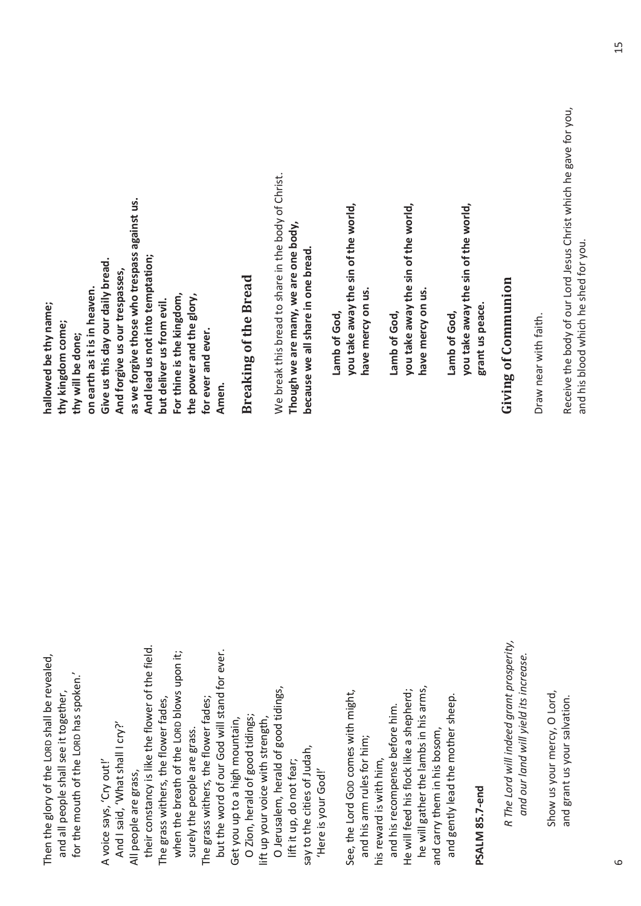ORD shall be revealed, Then the glory of the LORD shall be revealed, for the mouth of the Lorp has spoken.' for the mouth of the LORD has spoken.' and all people shall see it together, and all people shall see it together, Then the glory of the L

 their constancy is like the flower of the field. their constancy is like the flower of the field but the word of our God will stand for ever. when the breath of the LORD blows upon it; when the breath of the Lorp blows upon it; but the word of our God will stand for ever. O Jerusalem, herald of good tidings, O Jerusalem, herald of good tidings, The grass withers, the flower fades, The grass withers, the flower fades; The grass withers, the flower fades; The grass withers, the flower fades, O Zion, herald of good tidings; O Zion, herald of good tidings; lift up your voice with strength, Get you up to a high mountain, Set you up to a high mountain, ift up your voice with strength, And I said, 'What shall I cry?' And I said, 'What shall I cry?' surely the people are grass. surely the people are grass. say to the cities of Judah, say to the cities of Judah, lift it up, do not fear; lift it up, do not fear; A voice says, 'Cry out!' A voice says, 'Cry out!' 'Here is your God!' All people are grass, All people are grass, 'Here is your God!'

 he will gather the lambs in his arms, He will feed his flock like a shepherd; he will gather the lambs in his arms, See, the Lord GOD comes with might, See, the Lord Gop comes with might, He will feed his flock like a shepherd; and gently lead the mother sheep. and gently lead the mother sheep. and his recompense before him. and his recompense before him. and carry them in his bosom, and carry them in his bosom, and his arm rules for him; and his arm rules for him; his reward is with him, nis reward is with him,

#### **PSALM 85.7-end**  PSALM 85.7-end

*R The Lord will indeed grant prosperity,*  R The Lord will indeed grant prosperity,  *and our land will yield its increase.*  and our land will yield its increase.

Show us your mercy, O Lord, Show us your mercy, O Lord, and grant us your salvation. and grant us your salvation.

**as we forgive those who trespass against us.**  as we forgive those who trespass against us. **And lead us not into temptation; Give us this day our daily bread.**  And lead us not into temptation; Give us this day our daily bread. **And forgive us our trespasses,**  And forgive us our trespasses, on earth as it is in heaven. **on earth as it is in heaven. For thine is the kingdom, the power and the glory,**  the power and the glory, For thine is the kingdom, **but deliver us from evil.**  but deliver us from evil. **hallowed be thy name;**  nallowed be thy name; **thy kingdom come;**  thy kingdom come; for ever and ever. for ever and ever. thy will be done; **thy will be done; Amen.** 

## **Breaking of the Bread Breaking of the Bread**

We break this bread to share in the body of Christ. We break this bread to share in the body of Christ. **Though we are many, we are one body,**  Though we are many, we are one body, **because we all share in one bread.**  because we all share in one bread.

**you take away the sin of the world,**  you take away the sin of the world, **have mercy on us.**  have mercy on us. **Lamb of God,**  Lamb of God,

**you take away the sin of the world,**  you take away the sin of the world, **have mercy on us.**  have mercy on us. Lamb of God, **Lamb of God,** 

**you take away the sin of the world,**  you take away the sin of the world, **grant us peace.**  grant us peace. Lamb of God, **Lamb of God,** 

**Giving of Communion Giving of Communion** 

Draw near with faith. Draw near with faith.

Receive the body of our Lord Jesus Christ which he gave for you, Receive the body of our Lord Jesus Christ which he gave for you, and his blood which he shed for you. and his blood which he shed for you.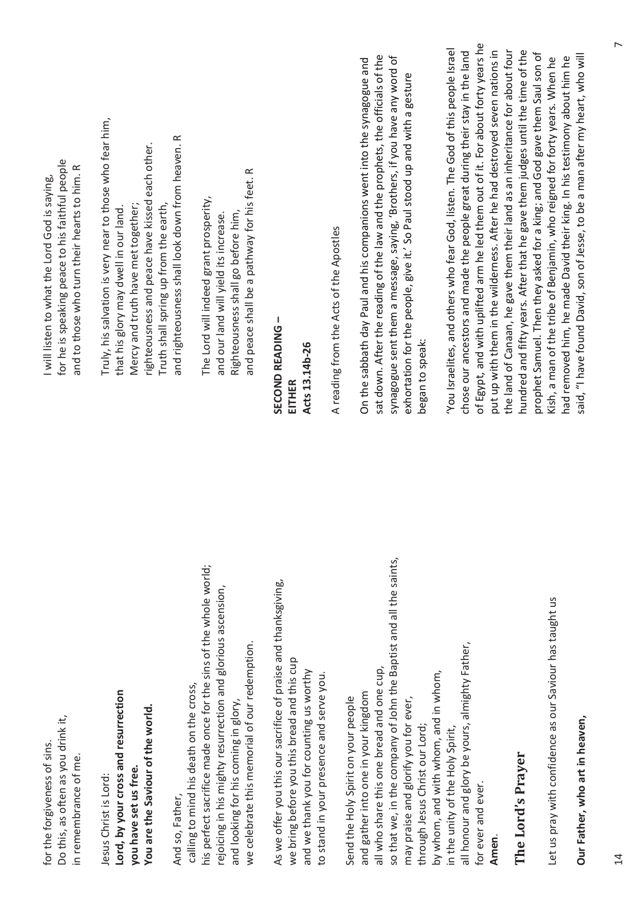| for the forgiveness of sins. | Do this, as often as you drink it | in remembrance of me. |
|------------------------------|-----------------------------------|-----------------------|
|                              |                                   |                       |

**Lord, by your cross and resurrection**  Lord, by your cross and resurrection **You are the Saviour of the world.**  You are the Saviour of the world. you have set us free. **you have set us free.**  Jesus Christ is Lord: lesus Christ is Lord:

hole world; his perfect sacrifice made once for the sins of the whole world; rejoicing in his mighty resurrection and glorious ascension, rejoicing in his mighty resurrection and glorious ascension, his perfect sacrifice made once for the sins of the w we celebrate this memorial of our redemption. we celebrate this memorial of our redemption. calling to mind his death on the cross, calling to mind his death on the cross, and looking for his coming in glory, and looking for his coming in glory, And so, Father, And so, Father,

As we offer you this our sacrifice of praise and thanksgiving, As we offer you this our sacrifice of praise and thanksgiving, we bring before you this bread and this cup we bring before you this bread and this cup and we thank you for counting us worthy to stand in your presence and serve you. and we thank you for counting us worthy to stand in your presence and serve you.

so that we, in the company of John the Baptist and all the saints, so that we, in the company of John the Baptist and all the saints, all honour and glory be yours, almighty Father, all honour and glory be yours, almighty Father, all who share this one bread and one cup, all who share this one bread and one cup, by whom, and with whom, and in whom, by whom, and with whom, and in whom, and gather into one in your kingdom and gather into one in your kingdom Send the Holy Spirit on your people Send the Holy Spirit on your people may praise and glorify you for ever, may praise and glorify you for ever, through Jesus Christ our Lord; in the unity of the Holy Spirit, through Jesus Christ our Lord; in the unity of the Holy Spirit, for ever and ever. for ever and ever. **Amen**.

### **The Lord's Prayer**  The Lord's Prayer

Let us pray with confidence as our Saviour has taught us Let us pray with confidence as our Saviour has taught us

**Our Father, who art in heaven,** Our Father, who art in heaven,

for he is speaking peace to his faithful people for he is speaking peace to his faithful people and to those who turn their hearts to him. R and to those who turn their hearts to him. R I will listen to what the Lord God is saying, will listen to what the Lord God is saying,

Truly, his salvation is very near to those who fear him, Truly, his salvation is very near to those who fear him, and righteousness shall look down from heaven. R and righteousness shall look down from heaven. R righteousness and peace have kissed each other. righteousness and peace have kissed each other. Truth shall spring up from the earth, Mercy and truth have met together; that his glory may dwell in our land. Mercy and truth have met together; Truth shall spring up from the earth, that his glory may dwell in our land.

and peace shall be a pathway for his feet. R and peace shall be a pathway for his feet. R The Lord will indeed grant prosperity, The Lord will indeed grant prosperity, Righteousness shall go before him, and our land will yield its increase. and our land will vield its increase. Righteousness shall go before him,

SECOND READING-**SECOND READING – Acts 13.14b-26**  Acts 13.14b-26 **EITHER** 

A reading from the Acts of the Apostles A reading from the Acts of the Apostles

sat down. After the reading of the law and the prophets, the officials of the sat down. After the reading of the law and the prophets, the officials of the synagogue sent them a message, saying, 'Brothers, if you have any word of synagogue sent them a message, saying, 'Brothers, if you have any word of On the sabbath day Paul and his companions went into the synagogue and On the sabbath day Paul and his companions went into the synagogue and exhortation for the people, give it.' So Paul stood up and with a gesture exhortation for the people, give it.' So Paul stood up and with a gesture began to speak: began to speak:

of Egypt, and with uplifted arm he led them out of it. For about forty years he of Egypt, and with uplifted arm he led them out of it. For about forty years he 'You Israelites, and others who fear God, listen. The God of this people Israel You Israelites, and others who fear God, listen. The God of this people Israel out up with them in the wilderness. After he had destroyed seven nations in put up with them in the wilderness. After he had destroyed seven nations in the land of Canaan, he gave them their land as an inheritance for about four hundred and fifty years. After that he gave them judges until the time of the hundred and fifty years. After that he gave them judges until the time of the chose our ancestors and made the people great during their stay in the land chose our ancestors and made the people great during their stay in the land the land of Canaan, he gave them their land as an inheritance for about four prophet Samuel. Then they asked for a king; and God gave them Saul son of prophet Samuel. Then they asked for a king; and God gave them Saul son of said, "I have found David, son of Jesse, to be a man after my heart, who will said, "I have found David, son of Jesse, to be a man after my heart, who will (ish, a man of the tribe of Benjamin, who reigned for forty years. When he Kish, a man of the tribe of Benjamin, who reigned for forty years. When he had removed him, he made David their king. In his testimony about him he had removed him, he made David their king. In his testimony about him he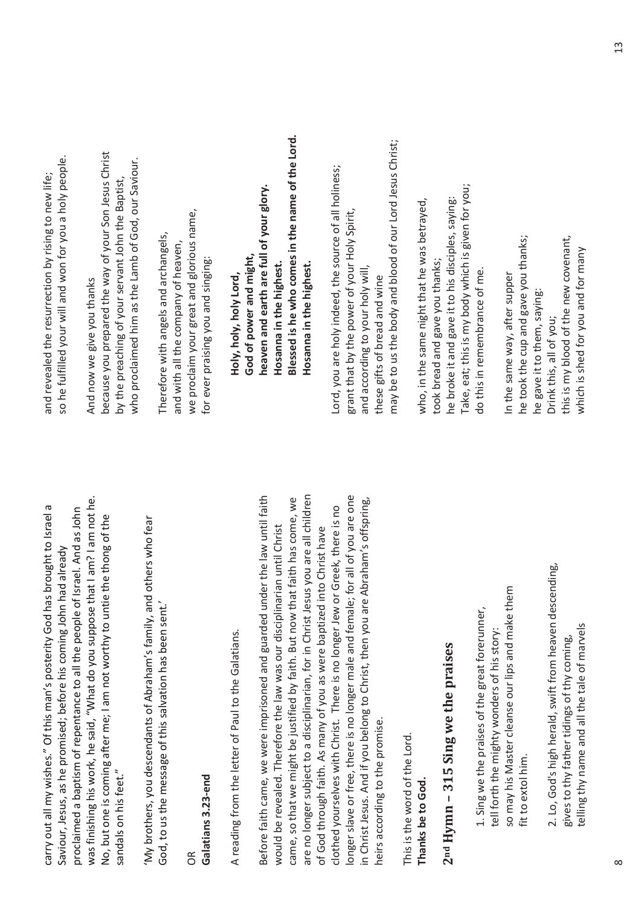was finishing his work, he said, "What do you suppose that I am? I am not he. was finishing his work, he said, "What do you suppose that I am? I am not he. Of this man's posterity God has brought to Israel a carry out all my wishes." Of this man's posterity God has brought to Israel a proclaimed a baptism of repentance to all the people of Israel. And as John proclaimed a baptism of repentance to all the people of Israel. And as John No, but one is coming after me; I am not worthy to untie the thong of the No, but one is coming after me; I am not worthy to untie the thong of the Saviour, Jesus, as he promised; before his coming John had already Saviour, Jesus, as he promised; before his coming John had already carry out all my wishes." sandals on his feet." sandals on his feet."

'My brothers, you descendants of Abraham's family, and others who fear My brothers, you descendants of Abraham's family, and others who fear God, to us the message of this salvation has been sent.' God, to us the message of this salvation has been sent.'

 $\widetilde{\mathcal{C}}$ 

#### Galatians 3.23-end **Galatians 3.23-end**

A reading from the letter of Paul to the Galatians. A reading from the letter of Paul to the Galatians.

are no longer subject to a disciplinarian, for in Christ Jesus you are all children Before faith came, we were imprisoned and guarded under the law until faith Before faith came, we were imprisoned and guarded under the law until faith onger slave or free, there is no longer male and female; for all of you are one longer slave or free, there is no longer male and female; for all of you are one are no longer subject to a disciplinarian, for in Christ Jesus you are all children in Christ Jesus. And if you belong to Christ, then you are Abraham's offspring, came, so that we might be justified by faith. But now that faith has come, we came, so that we might be justified by faith. But now that faith has come, we n Christ Jesus. And if you belong to Christ, then you are Abraham's offspring, clothed yourselves with Christ. There is no longer Jew or Greek, there is no clothed yourselves with Christ. There is no longer Jew or Greek, there is no would be revealed. Therefore the law was our disciplinarian until Christ would be revealed. Therefore the law was our disciplinarian until Christ of God through faith. As many of you as were baptized into Christ have of God through faith. As many of you as were baptized into Christ have heirs according to the promise. neirs according to the promise.

This is the word of the Lord. This is the word of the Lord. **Thanks be to God.**  Thanks be to God.

## **2nd Hymn – 315 Sing we the praises**  2<sup>nd</sup> Hymn - 315 Sing we the praises

so may his Master cleanse our lips and make them so may his Master cleanse our lips and make them 1. Sing we the praises of the great forerunner, 1. Sing we the praises of the great forerunner, tell forth the mighty wonders of his story: tell forth the mighty wonders of his story: fit to extol him. fit to extol him.

2. Lo, God's high herald, swift from heaven descending, 2. Lo, God's high herald, swift from heaven descending, telling thy name and all the tale of marvels telling thy name and all the tale of marvels gives to thy father tidings of thy coming, gives to thy father tidings of thy coming,

so he fulfilled your will and won for you a holy people. so he fulfilled your will and won for you a holy people. and revealed the resurrection by rising to new life; and revealed the resurrection by rising to new life;

because you prepared the way of your Son Jesus Christ because you prepared the way of your Son Jesus Christ who proclaimed him as the Lamb of God, our Saviour. who proclaimed him as the Lamb of God, our Saviour. by the preaching of your servant John the Baptist, by the preaching of your servant John the Baptist, And now we give you thanks And now we give you thanks

we proclaim your great and glorious name, we proclaim your great and glorious name, Therefore with angels and archangels, Therefore with angels and archangels, and with all the company of heaven, and with all the company of heaven, for ever praising you and singing: for ever praising you and singing:

**Blessed is he who comes in the name of the Lord.**  Blessed is he who comes in the name of the Lord. **heaven and earth are full of your glory.**  heaven and earth are full of your glory. **God of power and might,**  God of power and might, **Hosanna in the highest. Hosanna in the highest.**  Hosanna in the highest. Hosanna in the highest. **Holy, holy, holy Lord,**  Holy, holy, holy Lord,

may be to us the body and blood of our Lord Jesus Christ; may be to us the body and blood of our Lord Jesus Christ; Lord, you are holy indeed, the source of all holiness; -ord, you are holy indeed, the source of all holiness; grant that by the power of your Holy Spirit, grant that by the power of your Holy Spirit, and according to your holy will, and according to your holy will, these gifts of bread and wine these gifts of bread and wine

Take, eat; this is my body which is given for you; Take, eat; this is my body which is given for you; he broke it and gave it to his disciples, saying: who, in the same night that he was betrayed, he broke it and gave it to his disciples, saying: who, in the same night that he was betrayed, took bread and gave you thanks; took bread and gave you thanks; do this in remembrance of me. do this in remembrance of me.

he took the cup and gave you thanks; this is my blood of the new covenant, this is my blood of the new covenant, he took the cup and gave you thanks; which is shed for you and for many which is shed for you and for many In the same way, after supper n the same way, after supper he gave it to them, saying: ne gave it to them, saying: Drink this, all of you; Orink this, all of you;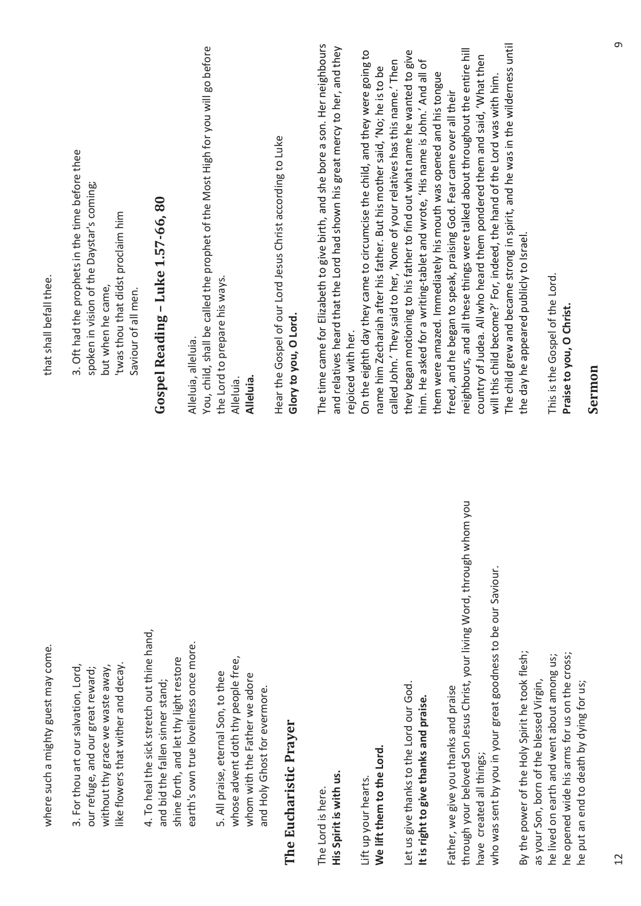| where such a mighty guest may come.                                       | that shall befall thee.                                                         |
|---------------------------------------------------------------------------|---------------------------------------------------------------------------------|
| 3. For thou art our salvation, Lord,                                      | 3. Oft had the prophets in the time before thee                                 |
| our refuge, and our great reward;                                         | spoken in vision of the Daystar's coming;                                       |
| without thy grace we waste away,                                          | but when he came,                                                               |
| like flowers that wither and decay.                                       | twas thou that didst proclaim him<br>Saviour of all men.                        |
| 4. To heal the sick stretch out thine hand,                               |                                                                                 |
| and bid the fallen sinner stand;                                          | Gospel Reading - Luke 1.57-66, 80                                               |
| shine forth, and let thy light restore                                    |                                                                                 |
| earth's own true loveliness once more.                                    | Alleluia, alleluia.                                                             |
|                                                                           | You, child, shall be called the prophet of the Most High for you will go before |
| 5. All praise, eternal Son, to thee                                       | the Lord to prepare his ways.                                                   |
| whose advent doth thy people free,                                        | Alleluia.                                                                       |
| whom with the Father we adore                                             | Alleluia.                                                                       |
| and Holy Ghost for evermore.                                              |                                                                                 |
|                                                                           | Hear the Gospel of our Lord Jesus Christ according to Luke                      |
| The Eucharistic Prayer                                                    | Glory to you, O Lord.                                                           |
| The Lord is here.                                                         | The time came for Elizabeth to give birth, and she bore a son. Her neighbours   |
| His Spirit is with us.                                                    | and relatives heard that the Lord had shown his great mercy to her, and they    |
|                                                                           | rejoiced with her.                                                              |
| Lift up your hearts.                                                      | On the eighth day they came to circumcise the child, and they were going to     |
| We lift them to the Lord.                                                 | name him Zechariah after his father. But his mother said, 'No; he is to be      |
|                                                                           | called John.' They said to her, 'None of your relatives has this name.' Then    |
| Let us give thanks to the Lord our God.                                   | they began motioning to his father to find out what name he wanted to give      |
| It is right to give thanks and praise.                                    | him. He asked for a writing-tablet and wrote, 'His name is John.' And all of    |
|                                                                           | them were amazed. Immediately his mouth was opened and his tongue               |
| Father, we give you thanks and praise                                     | freed, and he began to speak, praising God. Fear came over all their            |
| through your beloved Son Jesus Christ, your living Word, through whom you | neighbours, and all these things were talked about throughout the entire hill   |
| have created all things;                                                  | country of Judea. All who heard them pondered them and said, 'What then         |
| who was sent by you in your great goodness to be our Saviour.             | will this child become?' For, indeed, the hand of the Lord was with him.        |
|                                                                           | The child grew and became strong in spirit, and he was in the wilderness until  |
| By the power of the Holy Spirit he took flesh;                            | the day he appeared publicly to Israel.                                         |
| as your Son, born of the blessed Virgin,                                  |                                                                                 |
| he lived on earth and went about among us;                                | This is the Gospel of the Lord.                                                 |
| he opened wide his arms for us on the cross;                              | Praise to you, O Christ.                                                        |
| he put an end to death by dying for us;                                   |                                                                                 |
|                                                                           | Sermon                                                                          |

 $\sigma$